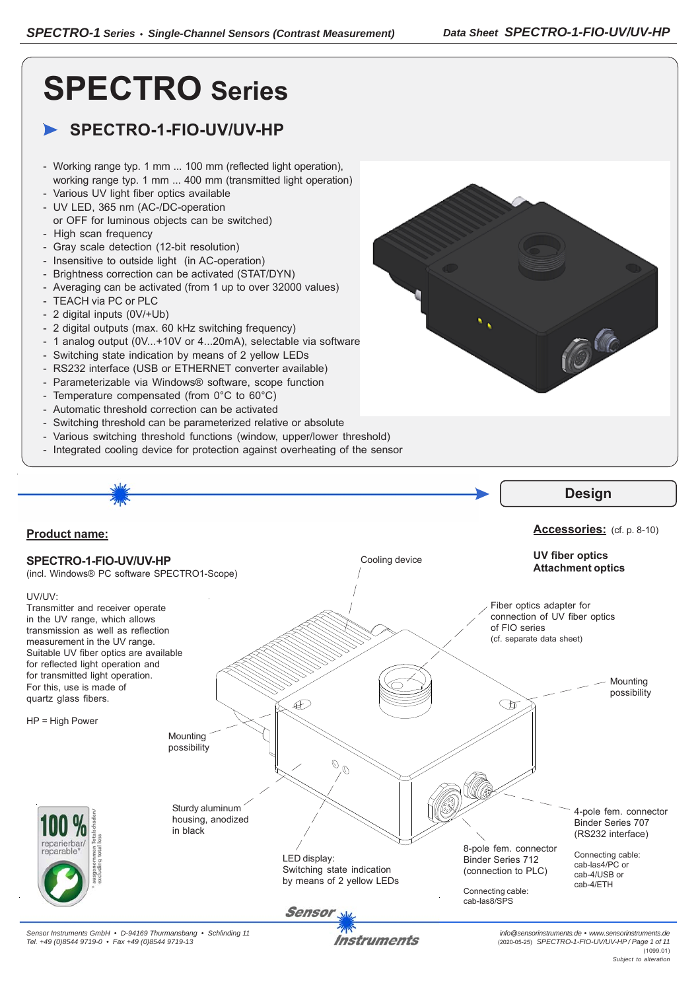**CE** 

# **SPECTRO Series**

# **SPECTRO-1-FIO-UV/UV-HP**

- Working range typ. 1 mm ... 100 mm (reflected light operation), working range typ. 1 mm ... 400 mm (transmitted light operation)
- Various UV light fiber optics available
- UV LED, 365 nm (AC-/DC-operation
- or OFF for luminous objects can be switched)
- High scan frequency
- Gray scale detection (12-bit resolution)
- Insensitive to outside light (in AC-operation)
- Brightness correction can be activated (STAT/DYN)
- Averaging can be activated (from 1 up to over 32000 values)
- TEACH via PC or PLC
- 2 digital inputs (0V/+Ub)
- 2 digital outputs (max. 60 kHz switching frequency)
- 1 analog output (0V...+10V or 4...20mA), selectable via software
- Switching state indication by means of 2 yellow LEDs
- RS232 interface (USB or ETHERNET converter available)
- Parameterizable via Windows® software, scope function
- Temperature compensated (from 0°C to 60°C)
- Automatic threshold correction can be activated
- Switching threshold can be parameterized relative or absolute
- Various switching threshold functions (window, upper/lower threshold)
- Integrated cooling device for protection against overheating of the sensor



Instruments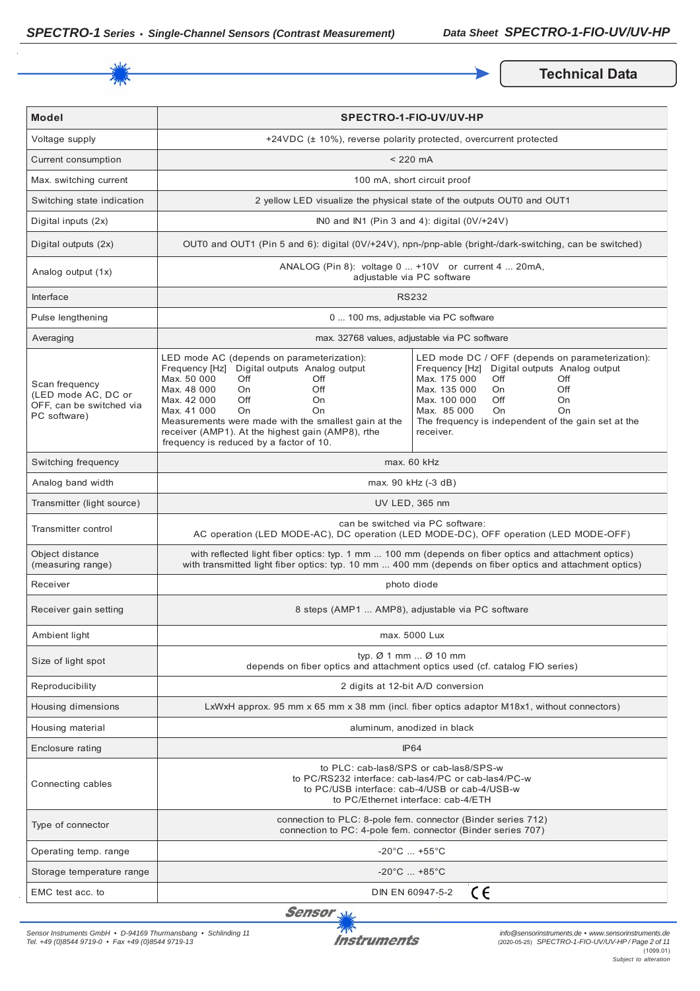

**Technical Data** 

| <b>Model</b>                                                                      | SPECTRO-1-FIO-UV/UV-HP                                                                                                                                                                                                                                                                                                                                                    |                                                                                                                                                                                                                                                                                                |  |
|-----------------------------------------------------------------------------------|---------------------------------------------------------------------------------------------------------------------------------------------------------------------------------------------------------------------------------------------------------------------------------------------------------------------------------------------------------------------------|------------------------------------------------------------------------------------------------------------------------------------------------------------------------------------------------------------------------------------------------------------------------------------------------|--|
| Voltage supply                                                                    |                                                                                                                                                                                                                                                                                                                                                                           | +24VDC (± 10%), reverse polarity protected, overcurrent protected                                                                                                                                                                                                                              |  |
| Current consumption                                                               |                                                                                                                                                                                                                                                                                                                                                                           | $< 220$ mA                                                                                                                                                                                                                                                                                     |  |
| Max. switching current                                                            |                                                                                                                                                                                                                                                                                                                                                                           | 100 mA, short circuit proof                                                                                                                                                                                                                                                                    |  |
| Switching state indication                                                        |                                                                                                                                                                                                                                                                                                                                                                           | 2 yellow LED visualize the physical state of the outputs OUT0 and OUT1                                                                                                                                                                                                                         |  |
| Digital inputs (2x)                                                               |                                                                                                                                                                                                                                                                                                                                                                           | INO and IN1 (Pin 3 and 4): digital $(0V/+24V)$                                                                                                                                                                                                                                                 |  |
| Digital outputs (2x)                                                              |                                                                                                                                                                                                                                                                                                                                                                           | OUT0 and OUT1 (Pin 5 and 6): digital (0V/+24V), npn-/pnp-able (bright-/dark-switching, can be switched)                                                                                                                                                                                        |  |
| Analog output (1x)                                                                | ANALOG (Pin 8): voltage 0  +10V or current 4  20mA,<br>adjustable via PC software                                                                                                                                                                                                                                                                                         |                                                                                                                                                                                                                                                                                                |  |
| Interface                                                                         | <b>RS232</b>                                                                                                                                                                                                                                                                                                                                                              |                                                                                                                                                                                                                                                                                                |  |
| Pulse lengthening                                                                 |                                                                                                                                                                                                                                                                                                                                                                           | 0  100 ms, adjustable via PC software                                                                                                                                                                                                                                                          |  |
| Averaging                                                                         | max. 32768 values, adjustable via PC software                                                                                                                                                                                                                                                                                                                             |                                                                                                                                                                                                                                                                                                |  |
| Scan frequency<br>(LED mode AC, DC or<br>OFF, can be switched via<br>PC software) | LED mode AC (depends on parameterization):<br>Frequency [Hz] Digital outputs Analog output<br>Max. 50 000<br>Off<br>Off<br>Max. 48 000<br>On<br>Off<br>Max. 42 000<br>Off<br>On<br>Max. 41 000<br><b>On</b><br>On<br>Measurements were made with the smallest gain at the<br>receiver (AMP1). At the highest gain (AMP8), rthe<br>frequency is reduced by a factor of 10. | LED mode DC / OFF (depends on parameterization):<br>Frequency [Hz] Digital outputs Analog output<br>Max. 175 000<br>Off<br>Off<br>Max. 135 000<br>Off<br>On<br>Max. 100 000<br>Off<br>On<br>Max. 85 000<br><b>On</b><br>On<br>The frequency is independent of the gain set at the<br>receiver. |  |
| Switching frequency                                                               | max. 60 kHz                                                                                                                                                                                                                                                                                                                                                               |                                                                                                                                                                                                                                                                                                |  |
| Analog band width                                                                 | max. 90 kHz (-3 dB)                                                                                                                                                                                                                                                                                                                                                       |                                                                                                                                                                                                                                                                                                |  |
| Transmitter (light source)                                                        | UV LED, 365 nm                                                                                                                                                                                                                                                                                                                                                            |                                                                                                                                                                                                                                                                                                |  |
| Transmitter control                                                               | can be switched via PC software:<br>AC operation (LED MODE-AC), DC operation (LED MODE-DC), OFF operation (LED MODE-OFF)                                                                                                                                                                                                                                                  |                                                                                                                                                                                                                                                                                                |  |
| Object distance<br>(measuring range)                                              | with reflected light fiber optics: typ. 1 mm  100 mm (depends on fiber optics and attachment optics)<br>with transmitted light fiber optics: typ. 10 mm  400 mm (depends on fiber optics and attachment optics)                                                                                                                                                           |                                                                                                                                                                                                                                                                                                |  |
| Receiver                                                                          | photo diode                                                                                                                                                                                                                                                                                                                                                               |                                                                                                                                                                                                                                                                                                |  |
| Receiver gain setting                                                             | 8 steps (AMP1  AMP8), adjustable via PC software                                                                                                                                                                                                                                                                                                                          |                                                                                                                                                                                                                                                                                                |  |
| Ambient light                                                                     | max. 5000 Lux                                                                                                                                                                                                                                                                                                                                                             |                                                                                                                                                                                                                                                                                                |  |
| Size of light spot                                                                | typ. $\varnothing$ 1 mm $\varnothing$ 10 mm<br>depends on fiber optics and attachment optics used (cf. catalog FIO series)                                                                                                                                                                                                                                                |                                                                                                                                                                                                                                                                                                |  |
| Reproducibility                                                                   | 2 digits at 12-bit A/D conversion                                                                                                                                                                                                                                                                                                                                         |                                                                                                                                                                                                                                                                                                |  |
| Housing dimensions                                                                | LxWxH approx. 95 mm x 65 mm x 38 mm (incl. fiber optics adaptor M18x1, without connectors)                                                                                                                                                                                                                                                                                |                                                                                                                                                                                                                                                                                                |  |
| Housing material                                                                  | aluminum, anodized in black                                                                                                                                                                                                                                                                                                                                               |                                                                                                                                                                                                                                                                                                |  |
| Enclosure rating                                                                  | <b>IP64</b>                                                                                                                                                                                                                                                                                                                                                               |                                                                                                                                                                                                                                                                                                |  |
| Connecting cables                                                                 | to PLC: cab-las8/SPS or cab-las8/SPS-w<br>to PC/RS232 interface: cab-las4/PC or cab-las4/PC-w<br>to PC/USB interface: cab-4/USB or cab-4/USB-w<br>to PC/Ethernet interface: cab-4/ETH                                                                                                                                                                                     |                                                                                                                                                                                                                                                                                                |  |
| Type of connector                                                                 | connection to PLC: 8-pole fem. connector (Binder series 712)<br>connection to PC: 4-pole fem. connector (Binder series 707)                                                                                                                                                                                                                                               |                                                                                                                                                                                                                                                                                                |  |
| Operating temp. range                                                             | $-20^{\circ}$ C  +55 $^{\circ}$ C                                                                                                                                                                                                                                                                                                                                         |                                                                                                                                                                                                                                                                                                |  |
| Storage temperature range                                                         | $-20^{\circ}$ C  +85 $^{\circ}$ C                                                                                                                                                                                                                                                                                                                                         |                                                                                                                                                                                                                                                                                                |  |
| EMC test acc. to                                                                  | ce<br>DIN EN 60947-5-2                                                                                                                                                                                                                                                                                                                                                    |                                                                                                                                                                                                                                                                                                |  |

Sensor<sub>N</sub>

*Sensor Instruments GmbH • D-94169 Thurmansbang • Schlinding 11 Tel. +49 (0)8544 9719-0 • Fax +49 (0)8544 9719-13*

**Instruments**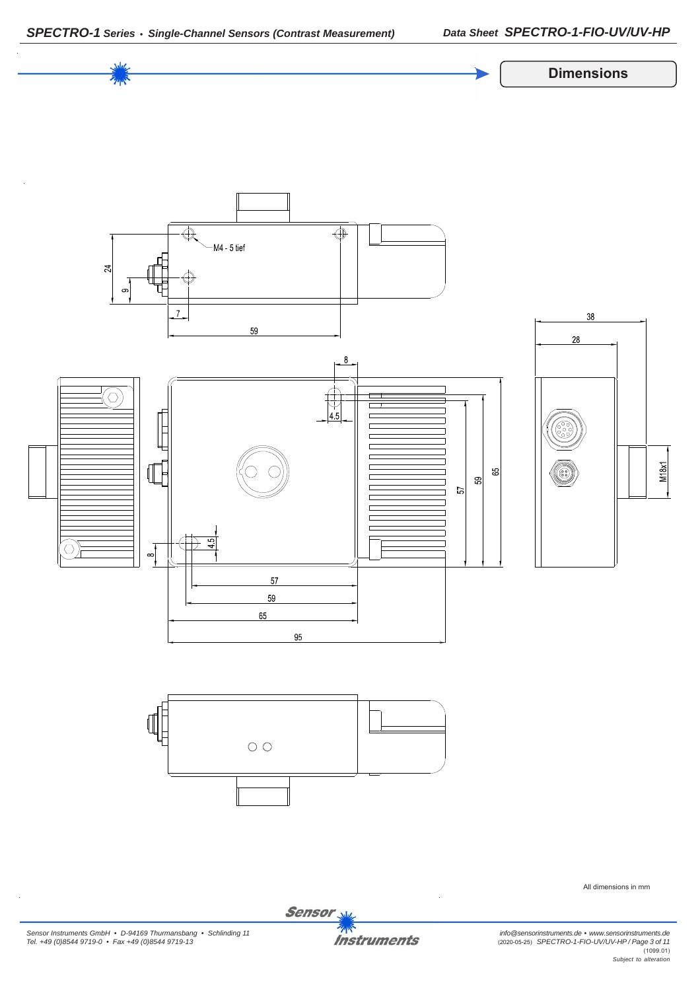



*Sensor Instruments GmbH • D-94169 Thurmansbang • Schlinding 11 Tel. +49 (0)8544 9719-0 • Fax +49 (0)8544 9719-13*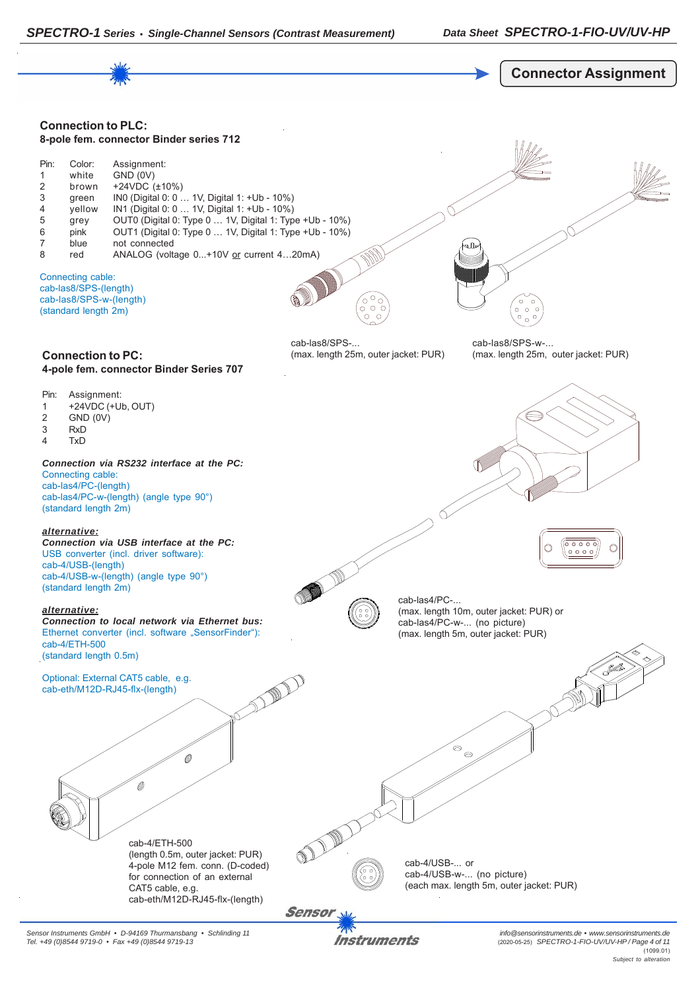



*Sensor Instruments GmbH • D-94169 Thurmansbang • Schlinding 11 Tel. +49 (0)8544 9719-0 • Fax +49 (0)8544 9719-13*

Instruments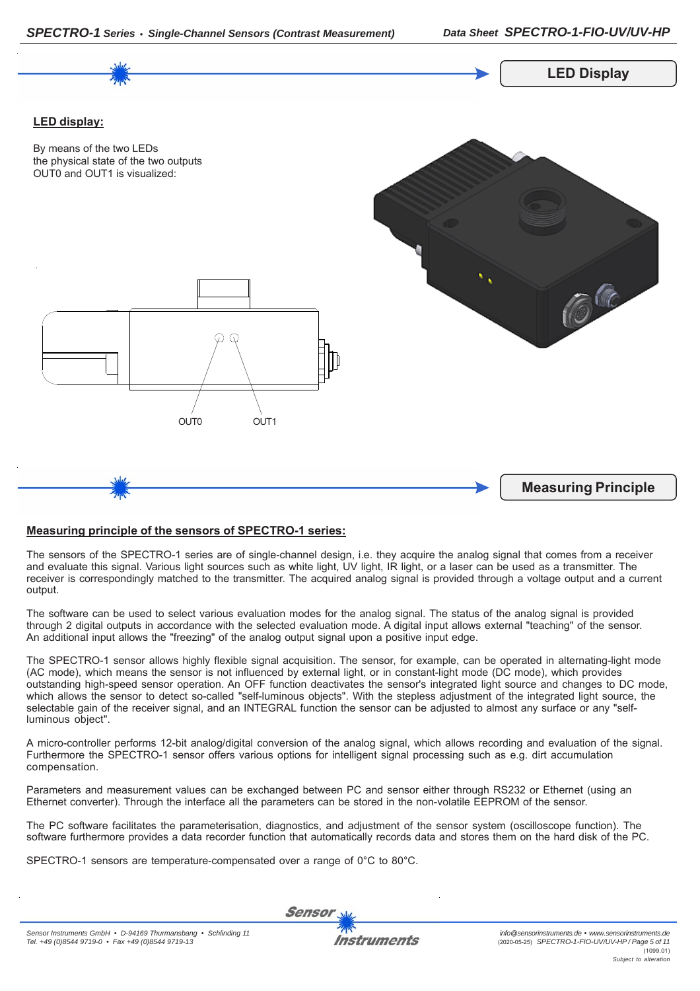



## **Measuring principle of the sensors of SPECTRO-1 series:**

The sensors of the SPECTRO-1 series are of single-channel design, i.e. they acquire the analog signal that comes from a receiver and evaluate this signal. Various light sources such as white light, UV light, IR light, or a laser can be used as a transmitter. The receiver is correspondingly matched to the transmitter. The acquired analog signal is provided through a voltage output and a current output.

The software can be used to select various evaluation modes for the analog signal. The status of the analog signal is provided through 2 digital outputs in accordance with the selected evaluation mode. A digital input allows external "teaching" of the sensor. An additional input allows the "freezing" of the analog output signal upon a positive input edge.

The SPECTRO-1 sensor allows highly flexible signal acquisition. The sensor, for example, can be operated in alternating-light mode (AC mode), which means the sensor is not influenced by external light, or in constant-light mode (DC mode), which provides outstanding high-speed sensor operation. An OFF function deactivates the sensor's integrated light source and changes to DC mode, which allows the sensor to detect so-called "self-luminous objects". With the stepless adjustment of the integrated light source, the selectable gain of the receiver signal, and an INTEGRAL function the sensor can be adjusted to almost any surface or any "selfluminous object".

A micro-controller performs 12-bit analog/digital conversion of the analog signal, which allows recording and evaluation of the signal. Furthermore the SPECTRO-1 sensor offers various options for intelligent signal processing such as e.g. dirt accumulation compensation.

Parameters and measurement values can be exchanged between PC and sensor either through RS232 or Ethernet (using an Ethernet converter). Through the interface all the parameters can be stored in the non-volatile EEPROM of the sensor.

The PC software facilitates the parameterisation, diagnostics, and adjustment of the sensor system (oscilloscope function). The software furthermore provides a data recorder function that automatically records data and stores them on the hard disk of the PC.

SPECTRO-1 sensors are temperature-compensated over a range of 0°C to 80°C.

**Sensor**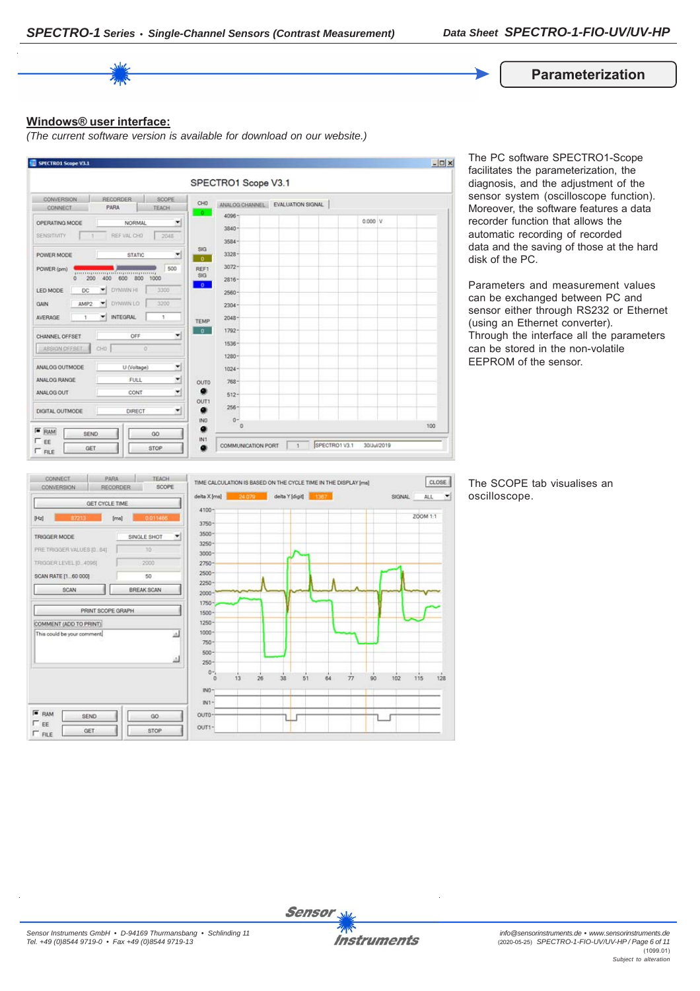#### **Parameterization**

#### **Windows® user interface:**

*(The current software version is available for download on our website.)*



The PC software SPECTRO1-Scope facilitates the parameterization, the diagnosis, and the adjustment of the sensor system (oscilloscope function). Moreover, the software features a data recorder function that allows the automatic recording of recorded data and the saving of those at the hard disk of the PC.

Parameters and measurement values can be exchanged between PC and sensor either through RS232 or Ethernet (using an Ethernet converter). Through the interface all the parameters can be stored in the non-volatile EEPROM of the sensor.



The SCOPE tab visualises an oscilloscope.

CLOSE

 $128$ 

 $\left| \cdot \right|$ 

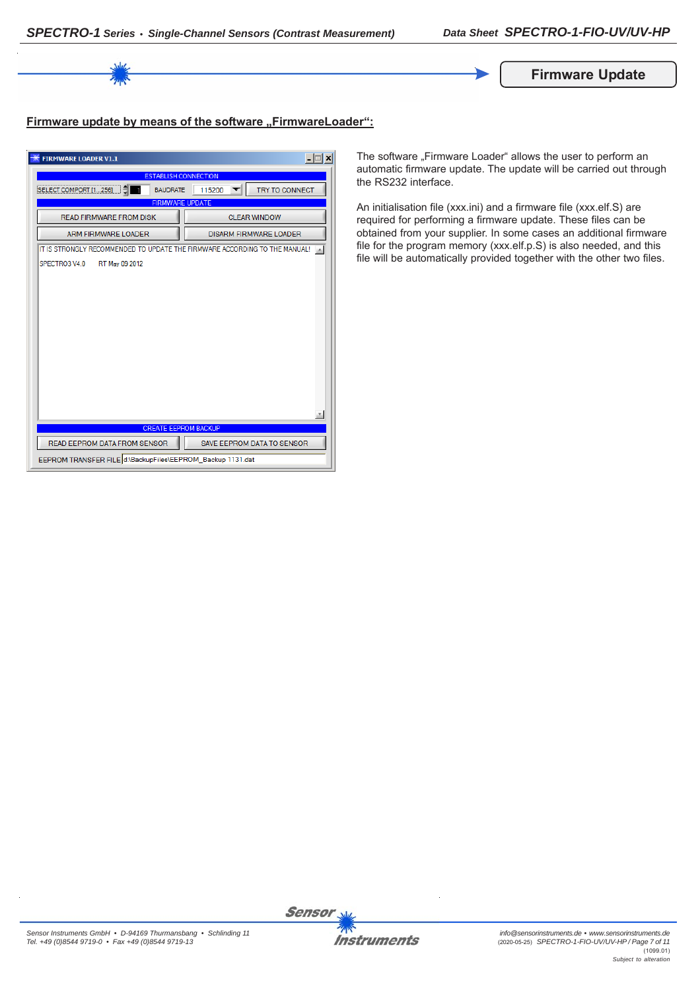

# **Firmware update by means of the software "FirmwareLoader":**

| <b>FIRMWARE LOADER V1.1</b>                                                | $\Box$                            |  |  |
|----------------------------------------------------------------------------|-----------------------------------|--|--|
| <b>ESTABLISH CONNECTION</b>                                                |                                   |  |  |
| SELECT COMPORT [1256]<br><b>BAUDRATE</b>                                   | <b>TRY TO CONNECT</b><br>115200   |  |  |
| <b>FIRMWARE UPDATE</b>                                                     |                                   |  |  |
| <b>READ FIRMWARE FROM DISK</b>                                             | <b>CLEAR WINDOW</b>               |  |  |
| <b>ARM FIRMWARE LOADER</b>                                                 | <b>DISARM FIRMWARE LOADER</b>     |  |  |
| IT IS STRONGLY RECOMMENDED TO UPDATE THE FIRMWARE ACCORDING TO THE MANUAL! |                                   |  |  |
| SPECTRO3 V4.0<br>RT May 09 2012                                            |                                   |  |  |
|                                                                            |                                   |  |  |
|                                                                            |                                   |  |  |
|                                                                            |                                   |  |  |
|                                                                            |                                   |  |  |
|                                                                            |                                   |  |  |
|                                                                            |                                   |  |  |
|                                                                            |                                   |  |  |
|                                                                            |                                   |  |  |
|                                                                            |                                   |  |  |
|                                                                            |                                   |  |  |
|                                                                            |                                   |  |  |
| <b>CREATE EEPROM BACKUP</b>                                                |                                   |  |  |
| READ EEPROM DATA FROM SENSOR                                               | <b>SAVE EEPROM DATA TO SENSOR</b> |  |  |
| EEPROM TRANSFER FILE d:\BackupFiles\EEPROM_Backup 1131.dat                 |                                   |  |  |

The software "Firmware Loader" allows the user to perform an automatic firmware update. The update will be carried out through the RS232 interface.

An initialisation file (xxx.ini) and a firmware file (xxx.elf.S) are required for performing a firmware update. These files can be obtained from your supplier. In some cases an additional firmware file for the program memory (xxx.elf.p.S) is also needed, and this file will be automatically provided together with the other two files.

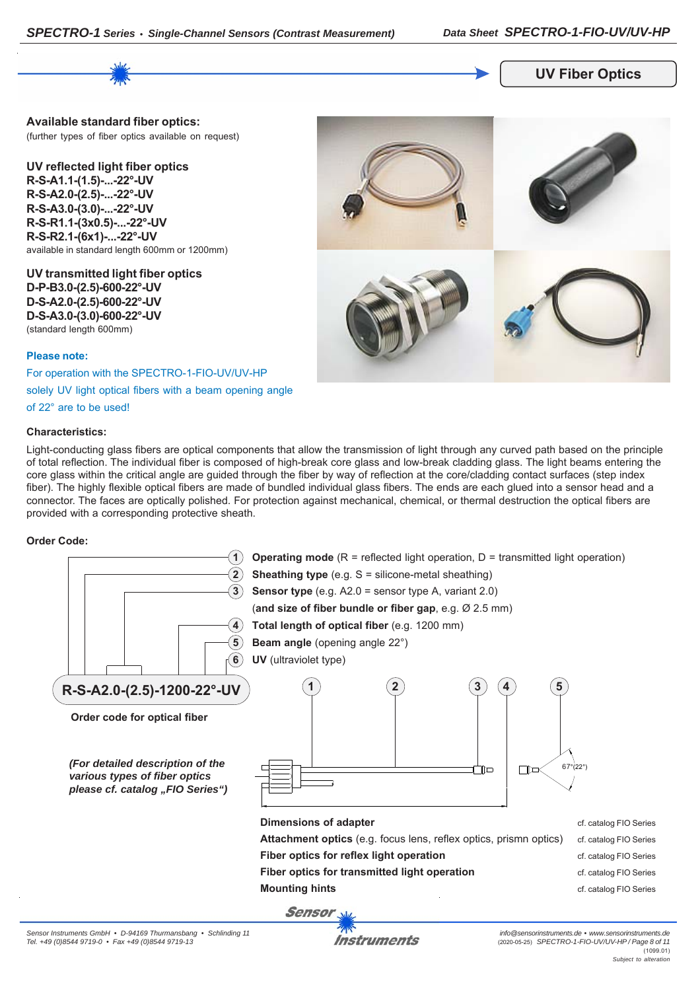

#### **UV Fiber Optics**

**Available standard fiber optics:** (further types of fiber optics available on request)

**UV reflected light fiber optics R-S-A1.1-(1.5)-...-22°-UV R-S-A2.0-(2.5)-...-22°-UV R-S-A3.0-(3.0)-...-22°-UV R-S-R1.1-(3x0.5)-...-22°-UV R-S-R2.1-(6x1)-...-22°-UV** available in standard length 600mm or 1200mm)

**UV transmitted light fiber optics D-P-B3.0-(2.5)-600-22°-UV D-S-A2.0-(2.5)-600-22°-UV D-S-A3.0-(3.0)-600-22°-UV** (standard length 600mm)

#### **Please note:**

For operation with the SPECTRO-1-FIO-UV/UV-HP

solely UV light optical fibers with a beam opening angle

of 22° are to be used!

#### **Characteristics:**



Light-conducting glass fibers are optical components that allow the transmission of light through any curved path based on the principle of total reflection. The individual fiber is composed of high-break core glass and low-break cladding glass. The light beams entering the core glass within the critical angle are guided through the fiber by way of reflection at the core/cladding contact surfaces (step index fiber). The highly flexible optical fibers are made of bundled individual glass fibers. The ends are each glued into a sensor head and a connector. The faces are optically polished. For protection against mechanical, chemical, or thermal destruction the optical fibers are provided with a corresponding protective sheath.

### **Order Code:**



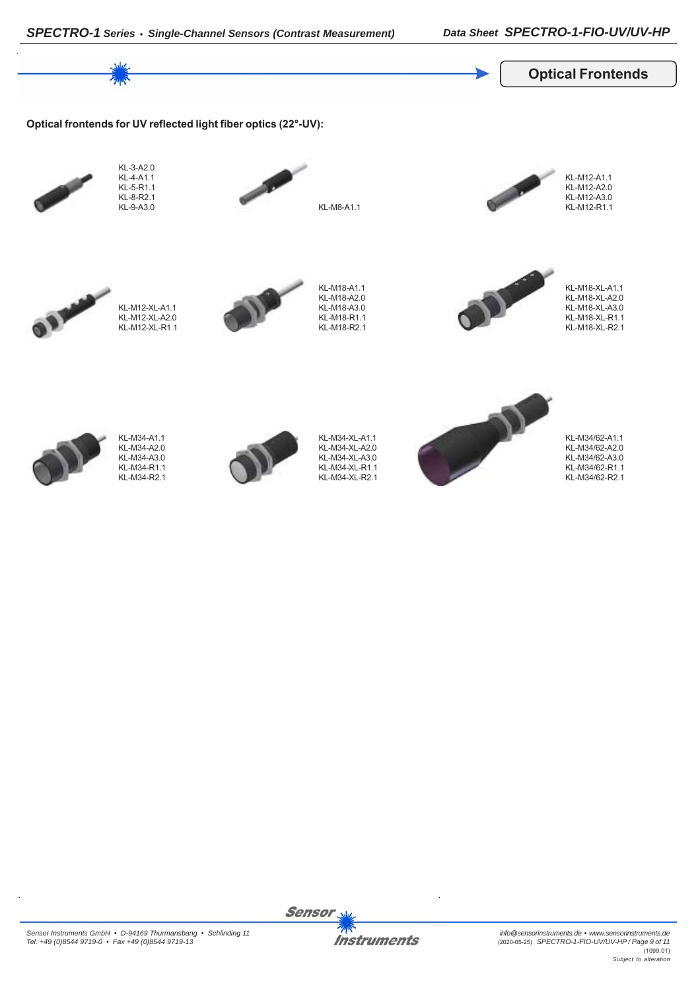